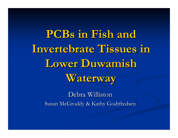**PCBs in Fish and PCBs in Fish and**  Invertebrate Tissues in **Lower Duwamish Lower Duwamish Waterway Waterway**

> Debra Williston Susan McGroddy & Kathy Godtfredsen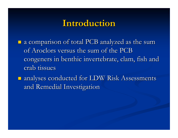### **Introduction Introduction**

- $\Box$  a comparison of total PCB analyzed as the sum of Aroclors versus the sum of the PCB congeners in benthic invertebrate, clam, fish and crab tissues
- $\blacksquare$  analyses conducted for LDW Risk Assessments and Remedial Investigation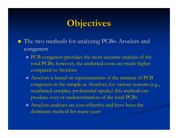# **Objectives Objectives**

- The two methods for analyzing PCBs: Aroclors and congeners
	- $\blacksquare$  PCB congeners provides the most accurate analysis of the total PCBs; however, the analytical costs are much higher compared to Aroclors
	- $\blacksquare$  Aroclors is based on representation of the mixture of PCB is congeners in the sample as Aroclors; for various reasons (e.g., weathered samples, preferential uptake) this method can produce over or underestimation of the total PCBs
	- $\blacksquare$  Aroclors analyses are cost-effective and have been the dominant method for many years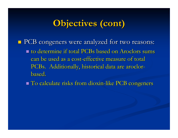## **Objectives (cont) Objectives (cont)**

- PCB congeners were analyzed for two reasons: PCB congeners were analyzed for two reasons:  $\blacksquare$  to determine if total PCBs based on Aroclors sums can be used as a cost-effective measure of total PCBs. Additionally, historical data are aroclorbased.
	- To calculate risks from dioxin-like PCB congeners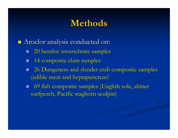### **Methods Methods**

**Aroclor analysis conducted on:** 

- **20 benthic invertebrate samples**
- П 14 composite clam samples
- $\blacksquare$ 26 Dungeness and slender crab composite samples (edible meat and heptapancreas)
- П 69 fish composite samples (English sole, shiner surfperch, Pacific staghorn sculpin)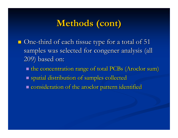## **Methods (cont) Methods (cont)**

- One-third of each tissue type for a total of 51 samples was selected for congener analysis (all 209) based on: 209) based on:
	- **If the concentration range of total PCBs (Aroclor sum)**  spatial distribution of samples collected spatial distribution of samples collected **E** consideration of the aroclor pattern identified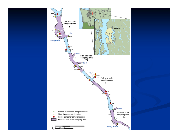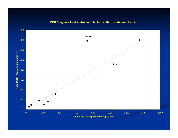#### **PCB Congener total vs Aroclor total for benthic invertebrate tissue**

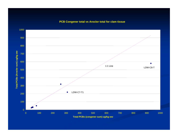#### **PCB Congener total vs Aroclor total for clam tissue**

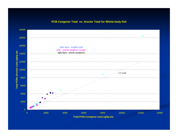#### **PCB Congener Total vs. Aroclor Total for Whole-body fish**

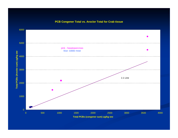#### **PCB Congener Total vs. Aroclor Total for Crab tissue**

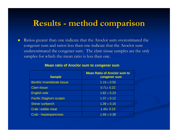### **Results Results - method comparison method comparison**

 $\blacksquare$ Ratios greater than one indicate that the Aroclor sum overestimated the congener sum and ratios less than one indicate that the Aroclor sum underestimated the congener sum. The clam tissue samples are the only samples for which the mean ratio is less than one.

| <b>Sample</b>                      | <b>Mean Ratio of Aroclor sum to</b><br>congener sum |
|------------------------------------|-----------------------------------------------------|
| <b>Benthic Invertebrate tissue</b> | $1.19 \pm 0.55$                                     |
| <b>Clam tissue</b>                 | $0.71 \pm 0.22$                                     |
| <b>English sole</b>                | $1.62 \pm 0.23$                                     |
| <b>Pacific Staghorn sculpin</b>    | $1.37 \pm 0.12$                                     |
| <b>Shiner surfperch</b>            | $1.39 \pm 0.16$                                     |
| Crab - edible meat                 | $1.45 \pm 0.23$                                     |
| Crab - hepatopancreas              | $1.69 \pm 0.38$                                     |

#### **Mean ratio of Aroclor sum to congener sum**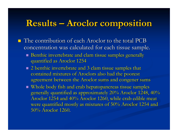## Results – Aroclor composition

- **The contribution of each Aroclor to the total PCB** concentration was calculated for each tissue sample.
	- $\blacksquare$  Benthic invertebrate and clam tissue samples generally quantified as Aroclor 1254 quantified as Aroclor 1254
	- $\blacksquare$  2 benthic invertebrate and 3 clam tissue samples that contained mixtures of Aroclors also had the poorest agreement between the Aroclor sums and congener sums
	- $\blacksquare$  Whole body fish and crab hepatopancreas tissue samples  $\blacksquare$ generally quantified as approximately 20% Aroclor 1248, 40% Aroclor 1254 and 40% Aroclor 1260, while crab edible meat were quantified mostly as mixtures of 50% Aroclor 1254 and 50% Aroclor 1260.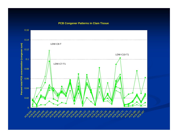**PCB Congener Patterns in Clam Tissue**

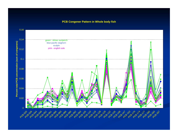#### **PCB Congener Pattern in Whole body fish**

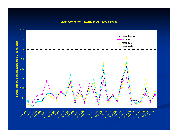**Mean Congener Patterns in All Tissue Types**

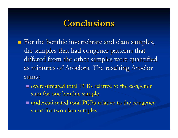### **Conclusions Conclusions**

- $\blacksquare$  For the benthic invertebrate and clam samples, the samples that had congener patterns that differed from the other samples were quantified as mixtures of Aroclors. The resulting Aroclor sums:
	- $\blacksquare$  overestimated total PCBs relative to the congener sum for one benthic sample
	- underestimated total PCBs relative to the congener sums for two clam samples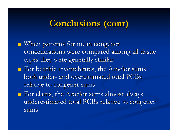## **Conclusions (cont) Conclusions (cont)**

- $\blacksquare$  When patterns for mean congener concentrations were compared among all tissue types they were generally similar
- $\blacksquare$  For benthic invertebrates, the Aroclor sums both under- and overestimated total PCBs relative to congener sums
- $\blacksquare$  For clams, the Aroclor sums almost always underestimated total PCBs relative to congener sums